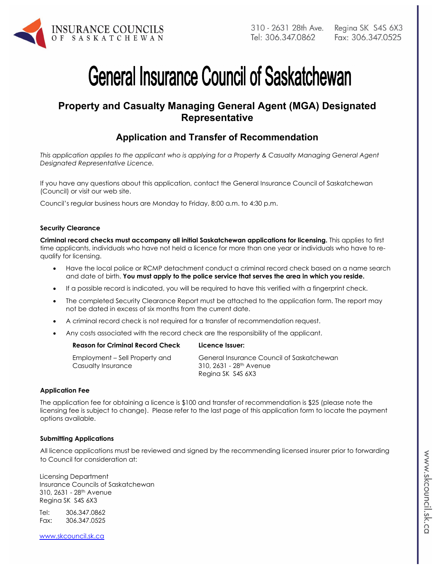

# **General Insurance Council of Saskatchewan**

## **Property and Casualty Managing General Agent (MGA) Designated Representative**

## **Application and Transfer of Recommendation**

*This application applies to the applicant who is applying for a Property & Casualty Managing General Agent Designated Representative Licence.* 

If you have any questions about this application, contact the General Insurance Council of Saskatchewan (Council) or visit our web site.

Council's regular business hours are Monday to Friday, 8:00 a.m. to 4:30 p.m.

#### **Security Clearance**

**Criminal record checks must accompany all initial Saskatchewan applications for licensing.** This applies to first time applicants, individuals who have not held a licence for more than one year or individuals who have to requalify for licensing.

- Have the local police or RCMP detachment conduct a criminal record check based on a name search and date of birth. **You must apply to the police service that serves the area in which you reside.**
- If a possible record is indicated, you will be required to have this verified with a fingerprint check.
- The completed Security Clearance Report must be attached to the application form. The report may not be dated in excess of six months from the current date.
- A criminal record check is not required for a transfer of recommendation request.
- Any costs associated with the record check are the responsibility of the applicant.

| <b>Reason for Criminal Record Check</b>              | Licence Issuer:                                                                  |
|------------------------------------------------------|----------------------------------------------------------------------------------|
| Employment – Sell Property and<br>Casualty Insurance | General Insurance Council of Saskatchewan<br>310, 2631 - 28 <sup>th</sup> Avenue |
|                                                      | Regina SK S4S 6X3                                                                |

#### **Application Fee**

The application fee for obtaining a licence is \$100 and transfer of recommendation is \$25 (please note the licensing fee is subject to change). Please refer to the last page of this application form to locate the payment options available.

#### **Submitting Applications**

All licence applications must be reviewed and signed by the recommending licensed insurer prior to forwarding to Council for consideration at:

Licensing Department Insurance Councils of Saskatchewan 310, 2631 - 28th Avenue Regina SK S4S 6X3

Tel: 306.347.0862 Fax: 306.347.0525

www.skcouncil.sk.ca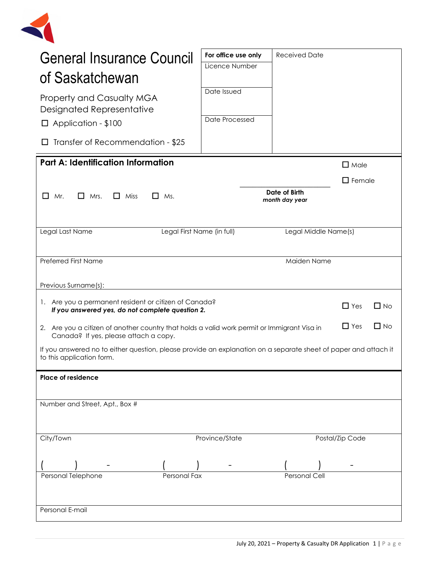

| <b>General Insurance Council</b><br>of Saskatchewan                                                                                          | For office use only<br>Licence Number                                                                                  | <b>Received Date</b>            |                 |           |
|----------------------------------------------------------------------------------------------------------------------------------------------|------------------------------------------------------------------------------------------------------------------------|---------------------------------|-----------------|-----------|
| <b>Property and Casualty MGA</b><br>Designated Representative                                                                                | Date Issued                                                                                                            |                                 |                 |           |
| $\Box$ Application - \$100                                                                                                                   | Date Processed                                                                                                         |                                 |                 |           |
| Transfer of Recommendation - \$25<br>ப                                                                                                       |                                                                                                                        |                                 |                 |           |
| <b>Part A: Identification Information</b><br>$\Box$ Male                                                                                     |                                                                                                                        |                                 |                 |           |
|                                                                                                                                              |                                                                                                                        |                                 | $\Box$ Female   |           |
| $\Box$ Mrs.<br>$\Box$ Miss<br>$\Box$ Ms.<br>L I<br>Mr.                                                                                       |                                                                                                                        | Date of Birth<br>month day year |                 |           |
|                                                                                                                                              |                                                                                                                        |                                 |                 |           |
| Legal Last Name<br>Legal First Name (in full)                                                                                                |                                                                                                                        | Legal Middle Name(s)            |                 |           |
|                                                                                                                                              |                                                                                                                        |                                 |                 |           |
| <b>Preferred First Name</b>                                                                                                                  |                                                                                                                        | Maiden Name                     |                 |           |
|                                                                                                                                              |                                                                                                                        |                                 |                 |           |
| Previous Surname(s):                                                                                                                         |                                                                                                                        |                                 |                 |           |
| 1. Are you a permanent resident or citizen of Canada?<br>If you answered yes, do not complete question 2.                                    |                                                                                                                        |                                 | $\Box$ Yes      | $\Box$ No |
| Canada? If yes, please attach a copy.                                                                                                        | $\Box$ Yes<br>$\Box$ No<br>2. Are you a citizen of another country that holds a valid work permit or Immigrant Visa in |                                 |                 |           |
| If you answered no to either question, please provide an explanation on a separate sheet of paper and attach it<br>to this application form. |                                                                                                                        |                                 |                 |           |
| Place of residence                                                                                                                           |                                                                                                                        |                                 |                 |           |
|                                                                                                                                              |                                                                                                                        |                                 |                 |           |
| Number and Street, Apt., Box #                                                                                                               |                                                                                                                        |                                 |                 |           |
|                                                                                                                                              |                                                                                                                        |                                 |                 |           |
| City/Town                                                                                                                                    | Province/State                                                                                                         |                                 | Postal/Zip Code |           |
|                                                                                                                                              |                                                                                                                        |                                 |                 |           |
| Personal Fax                                                                                                                                 |                                                                                                                        | <b>Personal Cell</b>            |                 |           |
| Personal Telephone                                                                                                                           |                                                                                                                        |                                 |                 |           |
|                                                                                                                                              |                                                                                                                        |                                 |                 |           |
| Personal E-mail                                                                                                                              |                                                                                                                        |                                 |                 |           |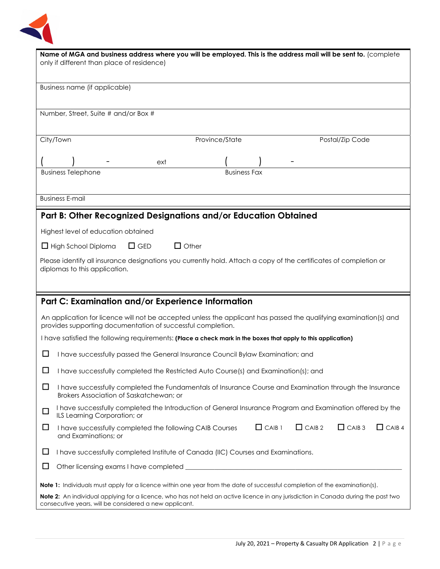

| Name of MGA and business address where you will be employed. This is the address mail will be sent to. (complete<br>only if different than place of residence)                               |  |  |  |
|----------------------------------------------------------------------------------------------------------------------------------------------------------------------------------------------|--|--|--|
| Business name (if applicable)                                                                                                                                                                |  |  |  |
| Number, Street, Suite # and/or Box #                                                                                                                                                         |  |  |  |
| City/Town<br>Province/State<br>Postal/Zip Code                                                                                                                                               |  |  |  |
| ext                                                                                                                                                                                          |  |  |  |
| <b>Business Telephone</b><br><b>Business Fax</b>                                                                                                                                             |  |  |  |
| <b>Business E-mail</b>                                                                                                                                                                       |  |  |  |
| Part B: Other Recognized Designations and/or Education Obtained                                                                                                                              |  |  |  |
| Highest level of education obtained                                                                                                                                                          |  |  |  |
| $\Box$ Other<br>$\Box$ GED<br>$\Box$ High School Diploma                                                                                                                                     |  |  |  |
| Please identify all insurance designations you currently hold. Attach a copy of the certificates of completion or<br>diplomas to this application.                                           |  |  |  |
| Part C: Examination and/or Experience Information                                                                                                                                            |  |  |  |
| An application for licence will not be accepted unless the applicant has passed the qualifying examination(s) and<br>provides supporting documentation of successful completion.             |  |  |  |
| I have satisfied the following requirements: (Place a check mark in the boxes that apply to this application)                                                                                |  |  |  |
| ⊔<br>I have successfully passed the General Insurance Council Bylaw Examination; and                                                                                                         |  |  |  |
| $\Box$<br>I have successfully completed the Restricted Auto Course(s) and Examination(s); and                                                                                                |  |  |  |
| $\Box$<br>I have successfully completed the Fundamentals of Insurance Course and Examination through the Insurance<br>Brokers Association of Saskatchewan; or                                |  |  |  |
| I have successfully completed the Introduction of General Insurance Program and Examination offered by the<br>$\Box$<br>ILS Learning Corporation; or                                         |  |  |  |
| $\Box$ CAIB 1<br>$\Box$ CAIB 2<br>$\Box$ CAIB 3<br>$\Box$ CAIB 4<br>$\Box$<br>I have successfully completed the following CAIB Courses<br>and Examinations; or                               |  |  |  |
| $\Box$<br>I have successfully completed Institute of Canada (IIC) Courses and Examinations.                                                                                                  |  |  |  |
| □                                                                                                                                                                                            |  |  |  |
| <b>Note 1:</b> Individuals must apply for a licence within one year from the date of successful completion of the examination(s).                                                            |  |  |  |
| Note 2: An individual applying for a licence, who has not held an active licence in any jurisdiction in Canada during the past two<br>consecutive years, will be considered a new applicant. |  |  |  |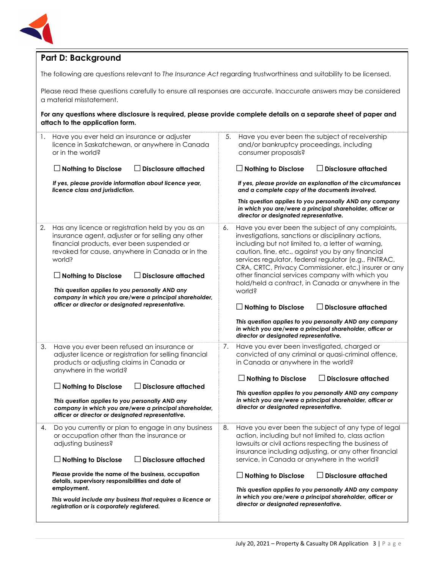

## **Part D: Background**

The following are questions relevant to *The Insurance Act* regarding trustworthiness and suitability to be licensed.

Please read these questions carefully to ensure all responses are accurate. Inaccurate answers may be considered a material misstatement.

**For any questions where disclosure is required, please provide complete details on a separate sheet of paper and attach to the application form.**

| 1. | Have you ever held an insurance or adjuster<br>licence in Saskatchewan, or anywhere in Canada<br>or in the world?<br><b>Disclosure attached</b><br>$\Box$ Nothing to Disclose<br>If yes, please provide information about licence year,<br>licence class and jurisdiction.                                                                                                                                                                       | 5. | Have you ever been the subject of receivership<br>and/or bankruptcy proceedings, including<br>consumer proposals?<br>$\square$ Nothing to Disclose<br>$\Box$ Disclosure attached<br>If yes, please provide an explanation of the circumstances<br>and a complete copy of the documents involved.<br>This question applies to you personally AND any company<br>in which you are/were a principal shareholder, officer or<br>director or designated representative.                                                                                                                                                                                                                    |
|----|--------------------------------------------------------------------------------------------------------------------------------------------------------------------------------------------------------------------------------------------------------------------------------------------------------------------------------------------------------------------------------------------------------------------------------------------------|----|---------------------------------------------------------------------------------------------------------------------------------------------------------------------------------------------------------------------------------------------------------------------------------------------------------------------------------------------------------------------------------------------------------------------------------------------------------------------------------------------------------------------------------------------------------------------------------------------------------------------------------------------------------------------------------------|
| 2. | Has any licence or registration held by you as an<br>insurance agent, adjuster or for selling any other<br>financial products, ever been suspended or<br>revoked for cause, anywhere in Canada or in the<br>world?<br><b>Disclosure attached</b><br>$\Box$ Nothing to Disclose<br>This question applies to you personally AND any<br>company in which you are/were a principal shareholder,<br>officer or director or designated representative. | 6. | Have you ever been the subject of any complaints,<br>investigations, sanctions or disciplinary actions,<br>including but not limited to, a letter of warning,<br>caution, fine, etc., against you by any financial<br>services regulator, federal regulator (e.g., FINTRAC,<br>CRA, CRTC, Privacy Commissioner, etc.) insurer or any<br>other financial services company with which you<br>hold/held a contract, in Canada or anywhere in the<br>world?<br>$\Box$ Disclosure attached<br>$\Box$ Nothing to Disclose<br>This question applies to you personally AND any company<br>in which you are/were a principal shareholder, officer or<br>director or designated representative. |
| 3. | Have you ever been refused an insurance or<br>adjuster licence or registration for selling financial<br>products or adjusting claims in Canada or<br>anywhere in the world?<br>$\Box$ Disclosure attached<br>$\Box$ Nothing to Disclose<br>This question applies to you personally AND any<br>company in which you are/were a principal shareholder,<br>officer or director or designated representative.                                        | 7. | Have you ever been investigated, charged or<br>convicted of any criminal or quasi-criminal offence,<br>in Canada or anywhere in the world?<br>$\Box$ Nothing to Disclose<br><b>Disclosure attached</b><br>$\perp$<br>This question applies to you personally AND any company<br>in which you are/were a principal shareholder, officer or<br>director or designated representative.                                                                                                                                                                                                                                                                                                   |
| 4. | Do you currently or plan to engage in any business<br>or occupation other than the insurance or<br>adjusting business?<br>$\Box$ Disclosure attached<br>$\Box$ Nothing to Disclose<br>Please provide the name of the business, occupation<br>details, supervisory responsibilities and date of<br>employment.<br>This would include any business that requires a licence or<br>registration or is corporately registered.                        | 8. | Have you ever been the subject of any type of legal<br>action, including but not limited to, class action<br>lawsuits or civil actions respecting the business of<br>insurance including adjusting, or any other financial<br>service, in Canada or anywhere in the world?<br>$\Box$ Nothing to Disclose<br>$\Box$ Disclosure attached<br>This question applies to you personally AND any company<br>in which you are/were a principal shareholder, officer or<br>director or designated representative.                                                                                                                                                                              |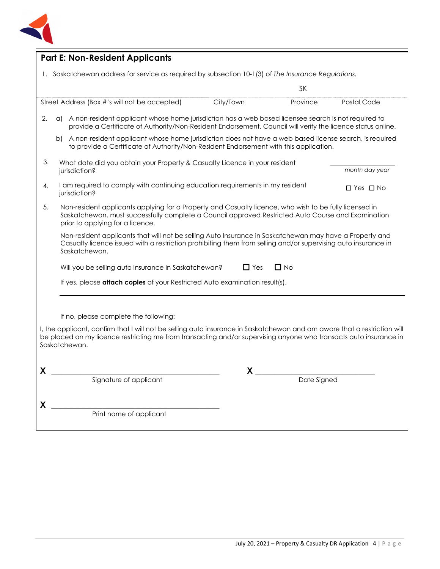

| <b>Part E: Non-Resident Applicants</b>                                                                                                                                                                                                                         |                                                                                                                                                                                                              |             |                      |  |  |
|----------------------------------------------------------------------------------------------------------------------------------------------------------------------------------------------------------------------------------------------------------------|--------------------------------------------------------------------------------------------------------------------------------------------------------------------------------------------------------------|-------------|----------------------|--|--|
| 1. Saskatchewan address for service as required by subsection 10-1(3) of The Insurance Regulations.                                                                                                                                                            |                                                                                                                                                                                                              |             |                      |  |  |
|                                                                                                                                                                                                                                                                |                                                                                                                                                                                                              | <b>SK</b>   |                      |  |  |
| Street Address (Box #'s will not be accepted)                                                                                                                                                                                                                  | City/Town                                                                                                                                                                                                    | Province    | Postal Code          |  |  |
| A non-resident applicant whose home jurisdiction has a web based licensee search is not required to<br>2.<br>a)<br>provide a Certificate of Authority/Non-Resident Endorsement. Council will verify the licence status online.                                 |                                                                                                                                                                                                              |             |                      |  |  |
| b)                                                                                                                                                                                                                                                             | A non-resident applicant whose home jurisdiction does not have a web based license search, is required<br>to provide a Certificate of Authority/Non-Resident Endorsement with this application.              |             |                      |  |  |
| 3.<br>jurisdiction?                                                                                                                                                                                                                                            | What date did you obtain your Property & Casualty Licence in your resident<br>month day year                                                                                                                 |             |                      |  |  |
| I am required to comply with continuing education requirements in my resident<br>4.<br>jurisdiction?                                                                                                                                                           |                                                                                                                                                                                                              |             | $\Box$ Yes $\Box$ No |  |  |
| 5.<br>prior to applying for a licence.                                                                                                                                                                                                                         | Non-resident applicants applying for a Property and Casualty licence, who wish to be fully licensed in<br>Saskatchewan, must successfully complete a Council approved Restricted Auto Course and Examination |             |                      |  |  |
| Non-resident applicants that will not be selling Auto Insurance in Saskatchewan may have a Property and<br>Casualty licence issued with a restriction prohibiting them from selling and/or supervising auto insurance in<br>Saskatchewan.                      |                                                                                                                                                                                                              |             |                      |  |  |
|                                                                                                                                                                                                                                                                | $\Box$ No<br>$\Box$ Yes<br>Will you be selling auto insurance in Saskatchewan?                                                                                                                               |             |                      |  |  |
| If yes, please attach copies of your Restricted Auto examination result(s).                                                                                                                                                                                    |                                                                                                                                                                                                              |             |                      |  |  |
|                                                                                                                                                                                                                                                                |                                                                                                                                                                                                              |             |                      |  |  |
| If no, please complete the following:                                                                                                                                                                                                                          |                                                                                                                                                                                                              |             |                      |  |  |
| I, the applicant, confirm that I will not be selling auto insurance in Saskatchewan and am aware that a restriction will<br>be placed on my licence restricting me from transacting and/or supervising anyone who transacts auto insurance in<br>Saskatchewan. |                                                                                                                                                                                                              |             |                      |  |  |
| Y                                                                                                                                                                                                                                                              | Y                                                                                                                                                                                                            |             |                      |  |  |
| Signature of applicant                                                                                                                                                                                                                                         |                                                                                                                                                                                                              | Date Signed |                      |  |  |
|                                                                                                                                                                                                                                                                |                                                                                                                                                                                                              |             |                      |  |  |
| X<br>Print name of applicant                                                                                                                                                                                                                                   |                                                                                                                                                                                                              |             |                      |  |  |
|                                                                                                                                                                                                                                                                |                                                                                                                                                                                                              |             |                      |  |  |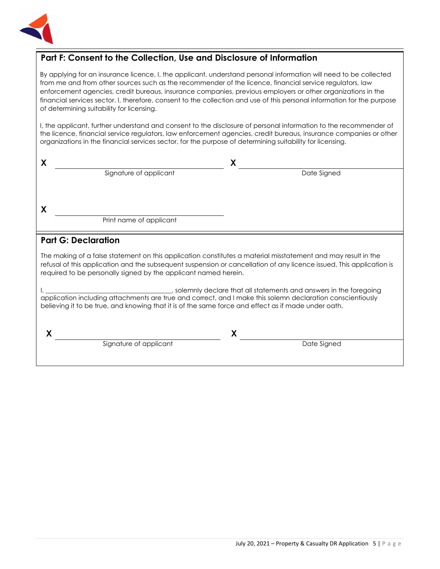

## **Part F: Consent to the Collection, Use and Disclosure of Information**

By applying for an insurance licence, I, the applicant, understand personal information will need to be collected from me and from other sources such as the recommender of the licence, financial service regulators, law enforcement agencies, credit bureaus, insurance companies, previous employers or other organizations in the financial services sector. I, therefore, consent to the collection and use of this personal information for the purpose of determining suitability for licensing.

I, the applicant, further understand and consent to the disclosure of personal information to the recommender of the licence, financial service regulators, law enforcement agencies, credit bureaus, insurance companies or other organizations in the financial services sector, for the purpose of determining suitability for licensing.

| X                                                                                                                                                                                                                                                                                                        |                                                                   |  |  |
|----------------------------------------------------------------------------------------------------------------------------------------------------------------------------------------------------------------------------------------------------------------------------------------------------------|-------------------------------------------------------------------|--|--|
| Signature of applicant                                                                                                                                                                                                                                                                                   | Date Signed                                                       |  |  |
|                                                                                                                                                                                                                                                                                                          |                                                                   |  |  |
| X                                                                                                                                                                                                                                                                                                        |                                                                   |  |  |
| Print name of applicant                                                                                                                                                                                                                                                                                  |                                                                   |  |  |
| <b>Part G: Declaration</b>                                                                                                                                                                                                                                                                               |                                                                   |  |  |
| The making of a false statement on this application constitutes a material misstatement and may result in the<br>refusal of this application and the subsequent suspension or cancellation of any licence issued. This application is<br>required to be personally signed by the applicant named herein. |                                                                   |  |  |
| application including attachments are true and correct, and I make this solemn declaration conscientiously<br>believing it to be true, and knowing that it is of the same force and effect as if made under oath.                                                                                        | solemnly declare that all statements and answers in the foregoing |  |  |

**X X** 

Signature of applicant and the Signature of applicant and the Date Signed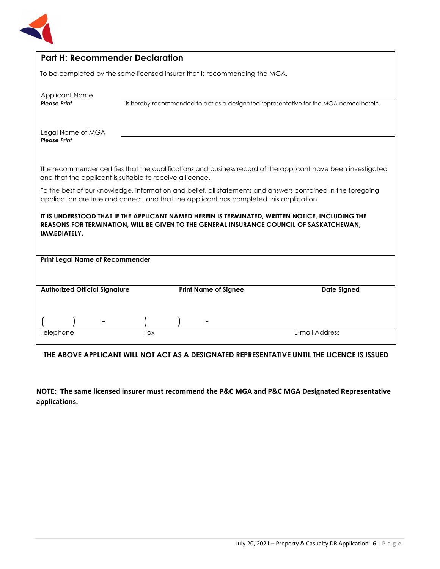

| <b>Part H: Recommender Declaration</b>                                                                                                                                                                              |     |                                                                            |                                                                                                               |
|---------------------------------------------------------------------------------------------------------------------------------------------------------------------------------------------------------------------|-----|----------------------------------------------------------------------------|---------------------------------------------------------------------------------------------------------------|
|                                                                                                                                                                                                                     |     | To be completed by the same licensed insurer that is recommending the MGA. |                                                                                                               |
| <b>Applicant Name</b><br><b>Please Print</b>                                                                                                                                                                        |     |                                                                            | is hereby recommended to act as a designated representative for the MGA named herein.                         |
| Legal Name of MGA<br><b>Please Print</b>                                                                                                                                                                            |     |                                                                            |                                                                                                               |
| and that the applicant is suitable to receive a licence.                                                                                                                                                            |     |                                                                            | The recommender certifies that the qualifications and business record of the applicant have been investigated |
| To the best of our knowledge, information and belief, all statements and answers contained in the foregoing<br>application are true and correct, and that the applicant has completed this application.             |     |                                                                            |                                                                                                               |
| IT IS UNDERSTOOD THAT IF THE APPLICANT NAMED HEREIN IS TERMINATED, WRITTEN NOTICE, INCLUDING THE<br>REASONS FOR TERMINATION, WILL BE GIVEN TO THE GENERAL INSURANCE COUNCIL OF SASKATCHEWAN,<br><b>IMMEDIATELY.</b> |     |                                                                            |                                                                                                               |
| <b>Print Legal Name of Recommender</b>                                                                                                                                                                              |     |                                                                            |                                                                                                               |
| <b>Authorized Official Signature</b>                                                                                                                                                                                |     | <b>Print Name of Signee</b>                                                | <b>Date Signed</b>                                                                                            |
|                                                                                                                                                                                                                     |     |                                                                            |                                                                                                               |
| Telephone                                                                                                                                                                                                           | Fax |                                                                            | E-mail Address                                                                                                |

**THE ABOVE APPLICANT WILL NOT ACT AS A DESIGNATED REPRESENTATIVE UNTIL THE LICENCE IS ISSUED**

**NOTE: The same licensed insurer must recommend the P&C MGA and P&C MGA Designated Representative applications.**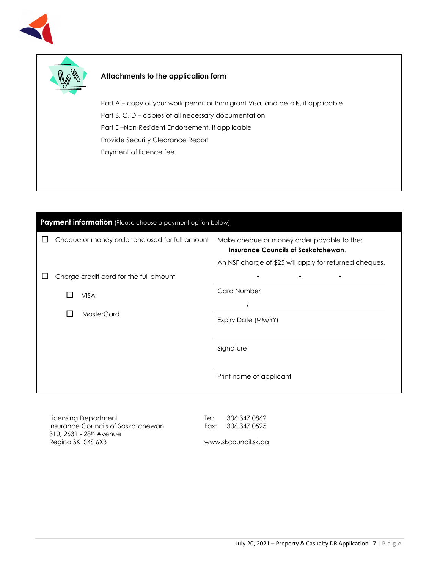



### **Attachments to the application form**

Part A – copy of your work permit or Immigrant Visa, and details, if applicable Part B, C, D – copies of all necessary documentation Part E –Non-Resident Endorsement, if applicable Provide Security Clearance Report Payment of licence fee

| Payment information (Please choose a payment option below) |                     |                                                |                                                                                                                                                    |
|------------------------------------------------------------|---------------------|------------------------------------------------|----------------------------------------------------------------------------------------------------------------------------------------------------|
|                                                            |                     | Cheque or money order enclosed for full amount | Make cheque or money order payable to the:<br><b>Insurance Councils of Saskatchewan.</b><br>An NSF charge of \$25 will apply for returned cheques. |
|                                                            |                     | Charge credit card for the full amount         |                                                                                                                                                    |
|                                                            |                     | <b>VISA</b>                                    | <b>Card Number</b>                                                                                                                                 |
| <b>MasterCard</b><br>$\mathsf{L}$                          |                     |                                                |                                                                                                                                                    |
|                                                            | Expiry Date (MM/YY) |                                                |                                                                                                                                                    |
|                                                            |                     |                                                |                                                                                                                                                    |
|                                                            |                     |                                                | Signature                                                                                                                                          |
|                                                            |                     |                                                | Print name of applicant                                                                                                                            |

Licensing Department Insurance Councils of Saskatchewan 310, 2631 - 28th Avenue Regina SK S4S 6X3

Tel: 306.347.0862 Fax: 306.347.0525

www.skcouncil.sk.ca